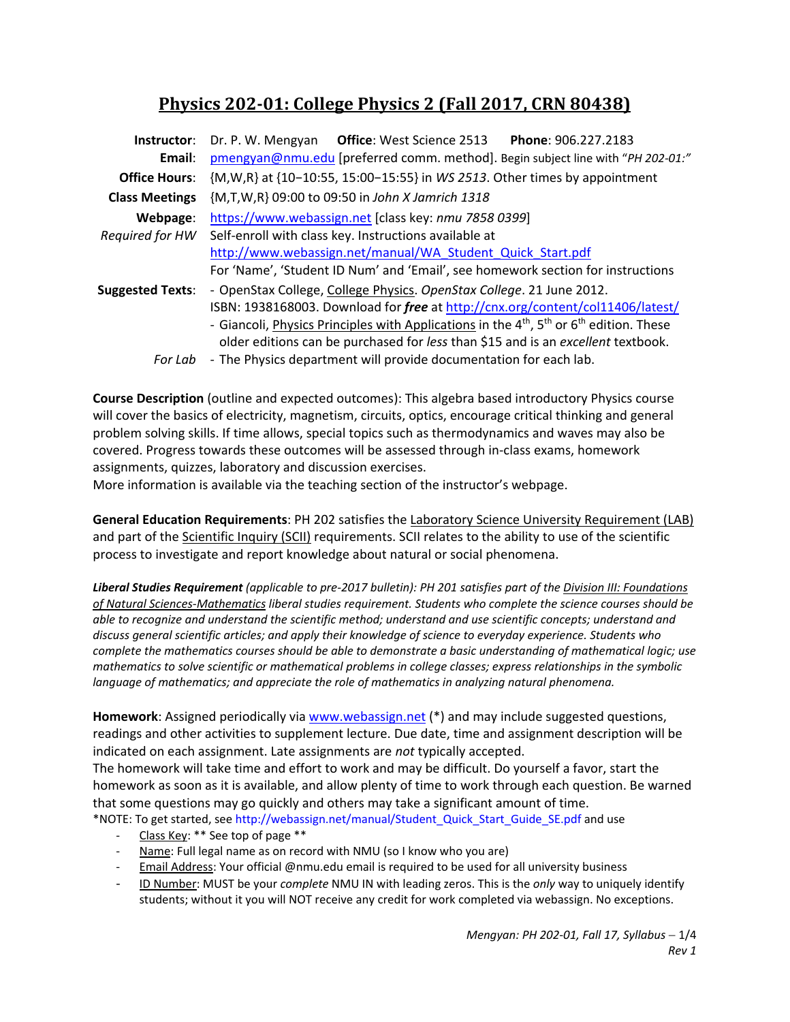# **Physics 202‐01: College Physics 2 (Fall 2017, CRN 80438)**

| Instructor:             | Dr. P. W. Mengyan Office: West Science 2513<br>Phone: 906.227.2183                                     |  |  |  |  |  |
|-------------------------|--------------------------------------------------------------------------------------------------------|--|--|--|--|--|
| Email:                  | pmengyan@nmu.edu [preferred comm. method]. Begin subject line with "PH 202-01:"                        |  |  |  |  |  |
| <b>Office Hours:</b>    | {M, W, R} at {10-10:55, 15:00-15:55} in WS 2513. Other times by appointment                            |  |  |  |  |  |
| <b>Class Meetings</b>   | {M,T,W,R} 09:00 to 09:50 in John X Jamrich 1318                                                        |  |  |  |  |  |
| Webpage:                | https://www.webassign.net [class key: nmu 7858 0399]                                                   |  |  |  |  |  |
| Required for HW         | Self-enroll with class key. Instructions available at                                                  |  |  |  |  |  |
|                         | http://www.webassign.net/manual/WA Student Quick Start.pdf                                             |  |  |  |  |  |
|                         | For 'Name', 'Student ID Num' and 'Email', see homework section for instructions                        |  |  |  |  |  |
| <b>Suggested Texts:</b> | - OpenStax College, College Physics. OpenStax College. 21 June 2012.                                   |  |  |  |  |  |
|                         | ISBN: 1938168003. Download for free at http://cnx.org/content/col11406/latest/                         |  |  |  |  |  |
|                         | - Giancoli, Physics Principles with Applications in the $4^{th}$ , $5^{th}$ or $6^{th}$ edition. These |  |  |  |  |  |
|                         | older editions can be purchased for less than \$15 and is an excellent textbook.                       |  |  |  |  |  |
| For Lab                 | - The Physics department will provide documentation for each lab.                                      |  |  |  |  |  |

**Course Description** (outline and expected outcomes): This algebra based introductory Physics course will cover the basics of electricity, magnetism, circuits, optics, encourage critical thinking and general problem solving skills. If time allows, special topics such as thermodynamics and waves may also be covered. Progress towards these outcomes will be assessed through in‐class exams, homework assignments, quizzes, laboratory and discussion exercises.

More information is available via the teaching section of the instructor's webpage.

**General Education Requirements**: PH 202 satisfies the Laboratory Science University Requirement (LAB) and part of the Scientific Inquiry (SCII) requirements. SCII relates to the ability to use of the scientific process to investigate and report knowledge about natural or social phenomena.

*Liberal Studies Requirement (applicable to pre‐2017 bulletin): PH 201 satisfies part of the Division III: Foundations of Natural Sciences‐Mathematics liberal studies requirement. Students who complete the science courses should be able to recognize and understand the scientific method; understand and use scientific concepts; understand and discuss general scientific articles; and apply their knowledge of science to everyday experience. Students who complete the mathematics courses should be able to demonstrate a basic understanding of mathematical logic; use mathematics to solve scientific or mathematical problems in college classes; express relationships in the symbolic language of mathematics; and appreciate the role of mathematics in analyzing natural phenomena.* 

**Homework**: Assigned periodically via www.webassign.net (\*) and may include suggested questions, readings and other activities to supplement lecture. Due date, time and assignment description will be indicated on each assignment. Late assignments are *not* typically accepted.

The homework will take time and effort to work and may be difficult. Do yourself a favor, start the homework as soon as it is available, and allow plenty of time to work through each question. Be warned that some questions may go quickly and others may take a significant amount of time. \*NOTE: To get started, see http://webassign.net/manual/Student\_Quick\_Start\_Guide\_SE.pdf and use

- ‐ Class Key: \*\* See top of page \*\*
- Name: Full legal name as on record with NMU (so I know who you are)
- Email Address: Your official @nmu.edu email is required to be used for all university business
- ‐ ID Number: MUST be your *complete* NMU IN with leading zeros. This is the *only* way to uniquely identify students; without it you will NOT receive any credit for work completed via webassign. No exceptions.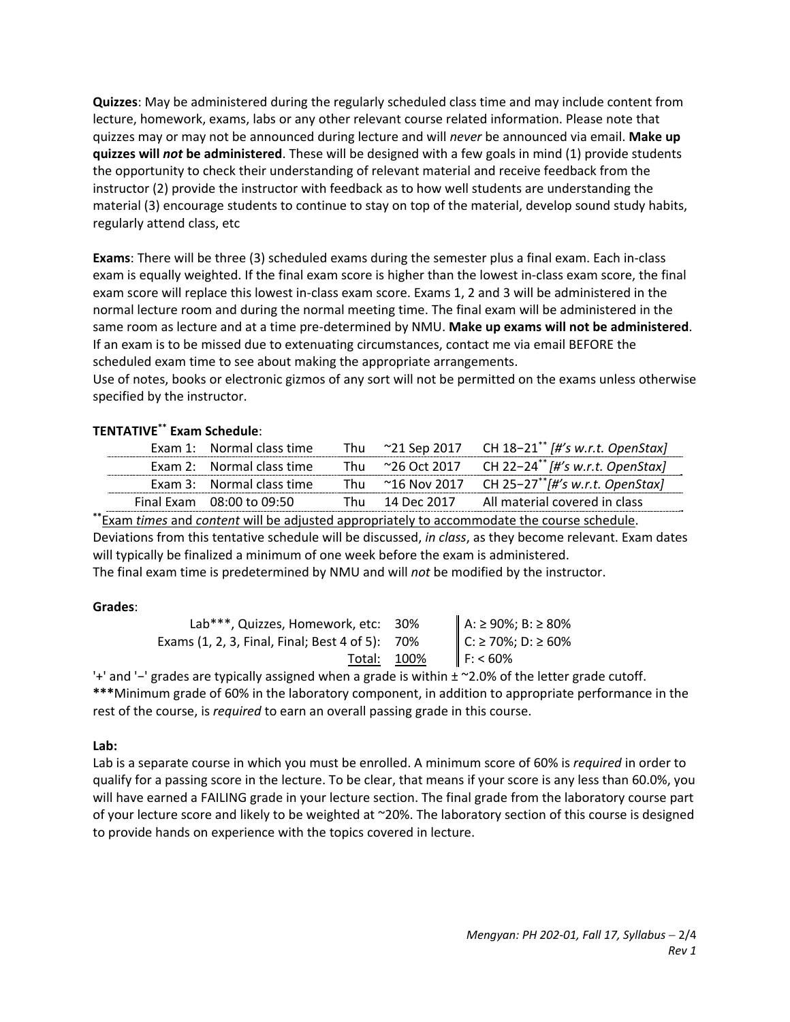**Quizzes**: May be administered during the regularly scheduled class time and may include content from lecture, homework, exams, labs or any other relevant course related information. Please note that quizzes may or may not be announced during lecture and will *never* be announced via email. **Make up quizzes will** *not* **be administered**. These will be designed with a few goals in mind (1) provide students the opportunity to check their understanding of relevant material and receive feedback from the instructor (2) provide the instructor with feedback as to how well students are understanding the material (3) encourage students to continue to stay on top of the material, develop sound study habits, regularly attend class, etc

**Exams**: There will be three (3) scheduled exams during the semester plus a final exam. Each in‐class exam is equally weighted. If the final exam score is higher than the lowest in‐class exam score, the final exam score will replace this lowest in‐class exam score. Exams 1, 2 and 3 will be administered in the normal lecture room and during the normal meeting time. The final exam will be administered in the same room as lecture and at a time pre‐determined by NMU. **Make up exams will not be administered**. If an exam is to be missed due to extenuating circumstances, contact me via email BEFORE the scheduled exam time to see about making the appropriate arrangements.

Use of notes, books or electronic gizmos of any sort will not be permitted on the exams unless otherwise specified by the instructor.

# **TENTATIVE\*\* Exam Schedule**:

| Exam 1: Normal class time |  | Thu $\sim$ 21 Sep 2017 CH 18-21 <sup>**</sup> [#'s w.r.t. OpenStax] |
|---------------------------|--|---------------------------------------------------------------------|
| Exam 2: Normal class time |  | Thu ~26 Oct 2017 CH 22-24 <sup>**</sup> [#'s w.r.t. OpenStax]       |
| Exam 3: Normal class time |  | Thu ~16 Nov 2017 CH 25-27 <sup>**</sup> /#'s w.r.t. OpenStax]       |
| Final Exam 08:00 to 09:50 |  | Thu 14 Dec 2017 All material covered in class                       |

**\*\***Exam *times* and *content* will be adjusted appropriately to accommodate the course schedule. Deviations from this tentative schedule will be discussed, *in class*, as they become relevant. Exam dates will typically be finalized a minimum of one week before the exam is administered.

The final exam time is predetermined by NMU and will *not* be modified by the instructor.

# **Grades**:

| Lab***, Quizzes, Homework, etc: 30%             |                                          |
|-------------------------------------------------|------------------------------------------|
| Exams (1, 2, 3, Final, Final; Best 4 of 5): 70% | A: ≥ 90%; B: ≥ 80%<br>C: ≥ 70%; D: ≥ 60% |
| Total: 100%                                     | F: 60%                                   |

'+' and '−' grades are typically assigned when a grade is within ± ~2.0% of the letter grade cutoff. **\*\*\***Minimum grade of 60% in the laboratory component, in addition to appropriate performance in the rest of the course, is *required* to earn an overall passing grade in this course.

# **Lab:**

Lab is a separate course in which you must be enrolled. A minimum score of 60% is *required* in order to qualify for a passing score in the lecture. To be clear, that means if your score is any less than 60.0%, you will have earned a FAILING grade in your lecture section. The final grade from the laboratory course part of your lecture score and likely to be weighted at ~20%. The laboratory section of this course is designed to provide hands on experience with the topics covered in lecture.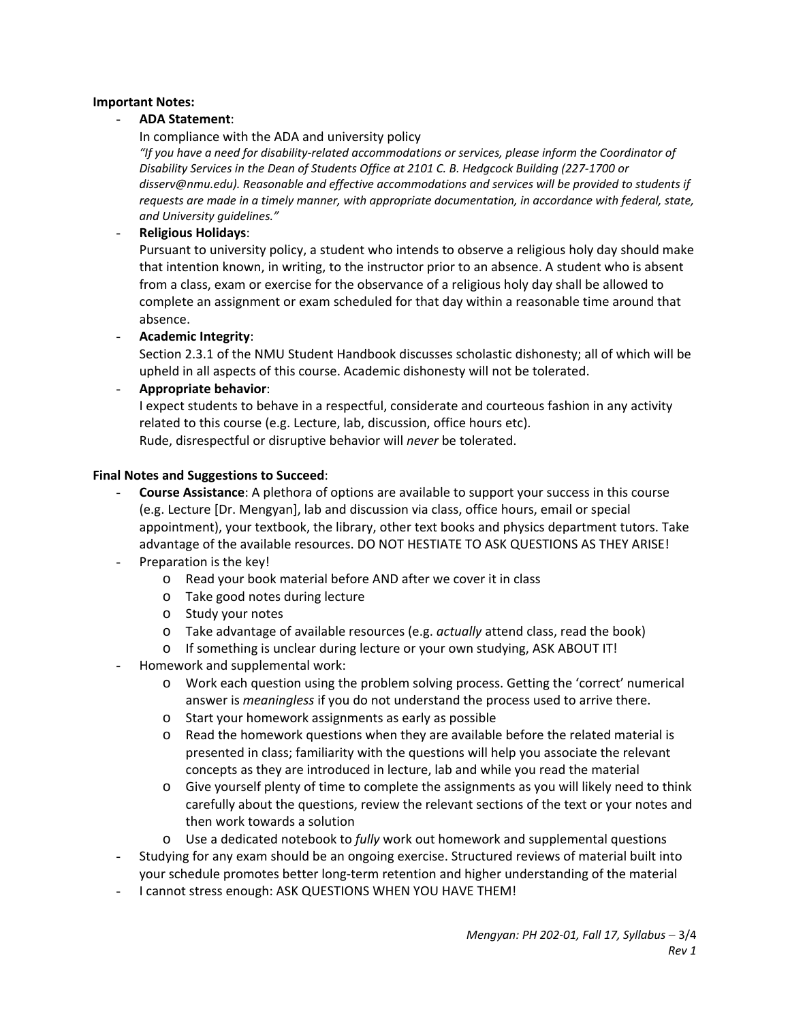# **Important Notes:**

# - **ADA Statement**:

In compliance with the ADA and university policy

*"If you have a need for disability‐related accommodations or services, please inform the Coordinator of Disability Services in the Dean of Students Office at 2101 C. B. Hedgcock Building (227‐1700 or disserv@nmu.edu). Reasonable and effective accommodations and services will be provided to students if requests are made in a timely manner, with appropriate documentation, in accordance with federal, state, and University guidelines."*

# - **Religious Holidays**:

Pursuant to university policy, a student who intends to observe a religious holy day should make that intention known, in writing, to the instructor prior to an absence. A student who is absent from a class, exam or exercise for the observance of a religious holy day shall be allowed to complete an assignment or exam scheduled for that day within a reasonable time around that absence.

- **Academic Integrity**:

Section 2.3.1 of the NMU Student Handbook discusses scholastic dishonesty; all of which will be upheld in all aspects of this course. Academic dishonesty will not be tolerated.

#### - **Appropriate behavior**:

I expect students to behave in a respectful, considerate and courteous fashion in any activity related to this course (e.g. Lecture, lab, discussion, office hours etc). Rude, disrespectful or disruptive behavior will *never* be tolerated.

#### **Final Notes and Suggestions to Succeed**:

- **Course Assistance**: A plethora of options are available to support your success in this course (e.g. Lecture [Dr. Mengyan], lab and discussion via class, office hours, email or special appointment), your textbook, the library, other text books and physics department tutors. Take advantage of the available resources. DO NOT HESTIATE TO ASK QUESTIONS AS THEY ARISE!
- Preparation is the key!
	- o Read your book material before AND after we cover it in class
	- o Take good notes during lecture
	- o Study your notes
	- o Take advantage of available resources (e.g. *actually* attend class, read the book)
	- o If something is unclear during lecture or your own studying, ASK ABOUT IT!
- Homework and supplemental work:
	- o Work each question using the problem solving process. Getting the 'correct' numerical answer is *meaningless* if you do not understand the process used to arrive there.
	- o Start your homework assignments as early as possible
	- $\circ$  Read the homework questions when they are available before the related material is presented in class; familiarity with the questions will help you associate the relevant concepts as they are introduced in lecture, lab and while you read the material
	- o Give yourself plenty of time to complete the assignments as you will likely need to think carefully about the questions, review the relevant sections of the text or your notes and then work towards a solution
	- o Use a dedicated notebook to *fully* work out homework and supplemental questions
- Studying for any exam should be an ongoing exercise. Structured reviews of material built into your schedule promotes better long‐term retention and higher understanding of the material
- I cannot stress enough: ASK QUESTIONS WHEN YOU HAVE THEM!